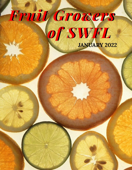# **JANUARY 2022** *Fruit Growers of SWFL*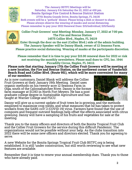

**The January BSTFC Meetings will be Saturday. January 8 & Saturday the 22, 2022 at 430 pm. Bonita Springs Fire Control & Rescue District Station 27701 Bonita Grande Drive, Bonita Springs, FL 34135 Both events will be a "potluck" dinner. Please bring a dish or dessert to share. Please always observe the wearing of masks and social distancing. Please remember to pay your 2022 Renewal Dues: \$15/individual; \$25/family** 



**Collier Fruit Growers' next Meeting: Monday, January 17, 2022 at 7:00 pm. The Fire and Rescue Station 14575 Collier Blvd., Naples, FL 34119** 

GROW FRUIT! Enter through the door on the east (Collier Blvd.) side of the admin building. **The January Speaker will be Danny Blank, owner of 12 Seasons Farm. Please practice social distancing. Wearing of masks at the participants discretion.** 

 **Please remember that it is time to pay your \$15.00 renewal dues for 2022 or risk not receiving the monthly newsletters. Please mail dues to: CFG, Inc. 1944 Piccadilly Circus, Naples, FL 34112.** 

**Please note that starting January 17th the Collier Fruit Growers will be meeting at a new location, the Fire and Rescue Station, on the northwest corner of Vanderbilt Beach Road and Collier Blvd. (Route 951), which will be more convenient for many of our members.** 

As is now customary, Daniel Blank will address the Collier Fruit Growers at their January 19th Meeting. Daniel uses organic methods on his twenty-acre 12 Seasons Farm in Olga, south of the Caloosahatchee River. Danny is the former farm manager at ECHO in North Fort Meyers. He has a post graduate college degree in Sustainable Agriculture and has taught at Warner College and FGCU.



Danny will give us a current update of fruit trees he is growing, and the methods employed to maximize crop yields, and what measures that he has taken to protect workers from the SARS-coV-2 (COVID-19) virus. Farmers have found that the use of composts and frequent nutrient feedings help offset the effects associated with citrus greening. Danny will have a sampling of his fruits and vegetables for sale at the meeting.

Thank you to the many officers and directors of both the Bonita Tropical Fruit Club and the Collier Fruit Growers for the service during this difficult Pandemic. The organizations would not be possible without your help. As the clubs transition into 2022 there will be some new officers and directors elected. Thank you for agreeing to serve.

A new Website for the Bonita Springs Tropical Fruit Club BSTFC.org is being established. It is still 'under construction,' but still worth reviewing to see what new features are available.

Remember that it is time to renew your annual membership dues. Thank you to those who have already paid.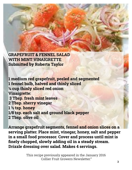**GRAPEFRUIT & FENNEL SALAD WITH MINT VINAIGRETTE Submitted by Roberta Taylor** 

**1 medium red grapefruit, peeled and segmented 1 fennel bulb, halved and thinly sliced ¼ cup thinly sliced red onion Vinaigrette: 3 Tbsp. fresh mint leaves 2 Tbsp. sherry vinegar 1 ½ tsp. honey 1/8 tsp. each salt and ground black pepper 2 Tbsp. olive oil** 

**Arrange grapefruit segments, fennel and onion slices on a serving platter. Place mint, vinegar, honey, salt and pepper in a small food processor. Cover and process until mint is finely chopped, slowly adding oil in a steady stream. Drizzle dressing over salad. Makes 4 servings.**

> This recipe previously appeared in the January 2016 Collier Fruit Growers Newsletter."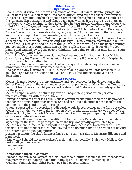### **Rita O'Hearn By Crafton Clift**

Rita O'Hearn at various times was a member of Miami, Broward, Bonita Springs, and Collier Rare Fruit Council groups. Rita especially enjoyed trips to collect new tropical fruit seeds. I first met Rita on a Fairchild Garden sponsored trip to Leticia, Colombia on the Amazon. Since then, Rita and I have been trips with as few as three to as many as two dozen travelers to Lima, Iquitos & Pucallpa in Peru, Brazil, Honduras, and Costa Rica. In 1989 I drove a Toyota pickup from Miami to Costa Rica. When I left the U.S. none of the Central American countries required a visa from U.S., but when I got to Nicaragua, Eugene Hassenfus had been shot down, belying the U.S. involvement in their civil war and I was held up in Honduras awaiting a visa for a couple of weeks.

Because of our many trips to Wilson Popenoe Botanic Garden in Tela, Honduras, I knew a cheap hotel there where I was staying. One night I was leaving a restaurant to return to the hotel. It was dark, beginning to rain a little. A car drove up and the people getting out looked like North Americans. Since I like to talk to strangers, I let go of my door handle and walked toward the people, thinking, "I'm going to tell that man his wife sure looks like my friend RITA!"

It was Rita O'Hearn and our core plant collecting group – Bill Shannon, Russ Hubbs, Chris Howell, Joe Clemens. The last night I spent in the U.S. was at Rita's in Naples, but this trip was planned after I left.

Rita went into assisted living a couple of years ago where she enjoyed socializing at the dinner table all day until Covid messed them up.

Rita passed away November 17, 2021. A memorial is planned by Jorge Sanchez (239) 682-4657, and Madeline Bohannon (239) 851-4448. Time and place are yet to be determined.

# **Melissa Parsons**

Melissa is most deserving of my gratitude and appreciation for her dedication to the Collier Fruit Growers. She was hand chosen by her predecessor Mary Fehr as Treasurer, but right from the start, eight years ago, I realized that Melissa was uniquely qualified for the position.

Melissa helped rewrite the club's Bylaws and negotiate a period when personal interests conflicted with those of the club.

During the six years prior to COVID Melissa organized and purchased the club provided food for the annual Christmas parties. She has continued to purchase the food for the volunteers at the semi-annual tree sales.

When I suggested that accepting credit cards would boost revenue at the fruit tree sales, Melissa did all the work to make it happen. Now, credit cards make up well over 50% of all sales. Lucky for the club, Melissa has agreed to continue participating with the credit card sales at future tree sales.

When the CFG Board promoted the 2019 fruit tour to Costa Rica, Melissa immediately signed up for the trip. Her participation on the trip was greatly appreciated by all. Melissa was instrumental in filing all the paperwork necessary to obtain the 501(C)(3) tax status for nonprofit organizations, saving the club much time and cost in not having to file complete annual tax returns.

During her tenure the club's finances have been seamless, due to Melissa's diligence and hard work.

I know that I should not take Melissa's resignation personally. I wish you Melissa the best in all your endeavors.

Very sincerely,

Rodger Taylor

# **Fruits which Ripen in January:**

**4** Avocado, banana, black sapote, canistel, carambola, citrus, coconut, guava, macadamia nut, mamey sapote, papaya, sapodilla. Annual Fruits: Eggplant, winter squash (Cushaw/Seminole pumpkin), pigeon pea, bell pepper, tomato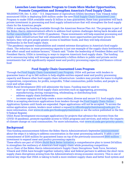# **Launches Loan Guarantee Program to Create More Market Opportunities, Promote Competition and Strengthen America's Food Supply Chain**

WASHINGTON, Dec. 9, 2021 – U.S. Department of Agriculture (USDA) Secretary Tom Vilsack today announced USDA is deploying \$100 million under the new [Food Supply Chain Guaranteed Loan](https://www.rd.usda.gov/food-supply-chain-guaranteed-loans)  Program to make USDA available nearly \$1 billion in loan guarantees; these loan guarantees will back private investment in processing and food supply infrastructure that will strengthen the food supply chain for the American people.

USDA is making the funding available through the American Rescue Plan Act. The program is part of the Biden-Harris Administration's efforts to address food system challenges dating back decades and [further exacerbated b](https://billingsgazette.com/opinion/columnists/guest-opinion-pandemic-exposed-rigid-fragile-food-system/article_b169aadd-f5be-56b7-884c-5abfa727e488.html)y the COVID-19 pandemic. These investments will help essential processing and supply chain infrastructure that will ultimately deliver more opportunities and fairer prices for farmers, they will give people greater access to healthier foods, and they will help eliminate bottlenecks in the food supply chain.

"The pandemic exposed vulnerabilities and created extreme disruptions in America's food supply chain. The reduction in meat processing capacity is just one example of the supply chain bottlenecks that affect small and midsize farmers," Vilsack said. "Under the leadership of President Biden and Vice President Harris, USDA is investing in ways to improve America's food supply chain. The funding we're announcing today will leverage approximately a billion dollars in public and private-sector investments that will significantly expand meat and poultry processing capacity and finance critical food

# **Food Supply Chain Guaranteed Loan Program**

Through th[e Food Supply Chain Guaranteed Loan Program,](https://www.rd.usda.gov/food-supply-chain-guaranteed-loans) USDA will partner with lenders to guarantee loans of up to \$40 million to help eligible entities expand meat and poultry processing capacity and finance other food supply chain infrastructure. Lenders may provide the loans to eligible cooperatives, corporations, for profits, nonprofits, Tribal communities, public bodies, and people in rural and urban areas.

USDA Rural Development (RD) will administer the loans. Funding may be used to:

- start-up or expand food supply chain activities such as aggregating, processing,
	- manufacturing, storing, transporting, wholesaling, or distributing food.
- address supply chain bottlenecks.

 • increase capacity and help create a more resilient, diverse and secure U.S. food supply chain. USDA is accepting electronic applications from lenders through th[e Food Supply Chain Online](https://www.rd.usda.gov/food-supply-chain-guaranteed-loans)  Application System until funds are expended. Paper applications will not be accepted. To access the online application system, lenders must submit a reque[st to rdfoodsupplychainloans@usda.gov. F](mailto:rdfoodsupplychainloans@usda.gov)or more information, visit [www.rd.usda.gov/foodsupplychainloans](https://www.rd.usda.gov/foodsupplychainloans) or see the notice published in the Dec. 9 Federal Register.

USDA Rural Development encourages applications for projects that advance the recovery from the COVID-19 pandemic, promote equitable access to USDA programs and services, and reduce the impacts of climate change on rural communities. For more information, visit [www.rd.usda.gov/priority-points.](https://www.rd.usda.gov/priority-points)

# **Background**

This funding announcement follows the Biden-Harris Administration's Septembe[r announcement](https://www.whitehouse.gov/briefing-room/blog/2021/09/08/addressing-concentration-in-the-meat-processing-industry-to-lower-food-prices-for-american-families/)  about the steps it is taking to address concentration in the meat-processing industry. It adds a new commitment of \$100 million for guaranteed loans on top of the previously announced [\\$500 million](https://www.usda.gov/media/press-releases/2021/07/09/usda-announces-500-million-expanded-meat-poultry-processing)  investment to expand meat and poultry processing capacity.

These efforts are part of USDA'[s Build Back Better Initiative,](https://www.usda.gov/media/press-releases/2021/06/08/usda-invest-more-4-billion-strengthen-food-system) a comprehensive plan to invest \$4 billion to strengthen the resiliency of America's food supply chain while promoting competition.

As co-Chair of the Biden-Harris Administration's Supply Chain Disruptions Task Force, Secretary Vilsack and USDA have brought together industry, labor and federal partners to address the short-term supply chain disruptions arising from the Administration's strong economic recovery. This is one of several key steps that USDA is taking to build a more resilient supply chain and better food system and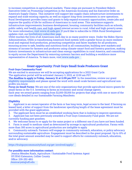to increase competition in agricultural markets. These steps are pursuant to President Biden's Executive Order on Promoting Competition in the American Economy and his Executive Order on America's Supply Chains. This initiative will support key supply chain infrastructure investments to expand and scale existing capacity, as well as support long-term investments in new operations. Rural Development provides loans and grants to help expand economic opportunities, create jobs and improve the quality of life for millions of Americans in rural areas. This assistance supports infrastructure improvements; business development; housing; community facilities such as schools, public safety, and health care; and high-speed internet access in rural, tribal and high-poverty areas. For more informatio[n, visit www.rd.usda.gov. I](https://www.rd.usda.gov/)f you'd like to subscribe to USDA Rural Development updates visit, ou[r GovDelivery subscriber page.](https://public.govdelivery.com/accounts/USDARD/subscriber/new?email=&commit=Sign+Up) 

USDA touches the lives of all Americans each day in so many positive ways. Under the Biden-Harris Administration, USDA is transforming America's food system with a greater focus on more resilient local and regional food production, promoting competition and fairer markets for all producers, ensuring access to safe, healthy and nutritious food in all communities, building new markets and streams of income for farmers and producers using climate-smart food and forestry practices, making historic investments in infrastructure and clean energy capabilities in rural America, and committing to equity across the Department by removing systemic barriers and building a workforce more representative of America. To learn more, visi[t www.usda.gov.](https://www.usda.gov/) 

# **Grant opportunity: Fruit Guys Small Scale Producers Grant**

#### **Fruit Guys Community Fund**

We are excited to announce we will be accepting applications for a 2022 Grant Cycle. The application portal will be activated January 3, 2022, at 12:00 am PST.

**The deadline to apply is Friday, January 31 at 11:59 pm PST**. In the meantime, review our grant [eligibility requirements](https://fruitguyscommunityfund.org/get-involved/apply/) [and please spread](https://ufl.edu/) the word with small-scale farmers and agricultural nonprofits you know.

**Focus on Small Farms**: We are one of the only organizations that provide agricultural micro-grants for small farms in the U.S. Investing in farms as economic and social change agents.

Each year we award grants ranging from \$2,000-\$5,000 for projects that align with one or more of the core ideals detailed in our Sustainable Farming Manifesto.

#### **Eligibility**

1. Applicant is an owner/operator of the farm or has long-term, legal access to the land. If farming on leased land, a letter of support from the landowner specifying length of the lease agreement must be provided with the grant application.

2. The applicant farm must be an established working farm that is looking to improve operations.

3. Applicant has not been previously awarded a Fruit Guys Community Fund grant. We are not currently funding past grantees.

4. We welcome farms to re-apply for the same project or a different one if you have not been funded.

5. Farm is small to medium-sized as determined by acreage in agricultural production. Farms with more than 300 acres in agricultural production are ineligible to apply.

6. Community outreach. Farmers will engage in community outreach, education, or policy advocacy surrounding sustainable agriculture. Engagement must be described in the grant proposal. Up to 10% of the total grant amount awarded may be used to support efforts for community outreach, education, and/or advocacy.

<https://fruitguyscommunityfund.org/get-involved/apply/>

#### **For possibly more information contact:**

 Jessica Mendes Ryals, Agriculture / Sustainable Food Systems Agent UF/IFAS Extension, Collier County Office: 239-252-4811  [Jessicaryals@ufl.edu](mailto:Jessicaryals@ufl.edu)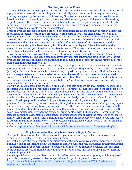# **Grafting Avocado Trees**

Commercial avocado growers get the best results from grafted avocado trees, obtaining a large crop of top-quality fruit. Avocado tree grafting is not technically necessary to get fruit to grow. However, grafting can speed up the process of fruit bearing. If one grows an avocado tree from seed, they will have to wait with the seedling for six or more years before seeing any fruit. Even after the seedling begin to produce, there is no certainty that the tree will look like the parents or produce fruit of the same quality. That is why avocados are usually not seed grown. Trees are propagated by grafting known cultivar scions onto the various rootstocks.

Grafting avocado trees is a common practice of commercial producers, but maybe rather difficult for the average gardener. Grafting is a process of joining parts of two trees biologically. One can graft scions (budwood) or the individual buds of one tree onto the rootstock of another, allowing the two to grow together into one tree. Virtually all avocado trees commercially sold today have been grafted. However, that does not mean anyone can simply graft the tips (scions) of one tree onto another. Avocado tree grafting involves carefully bonding the cambium layers of the scion to that of the rootstock. As the two grow together, a new tree is created. The closer the scion and the rootstock are to each other biologically, the better chance you have of successfully grafting them.

 If you are wondering how to graft an avocado, it is a matter of precision. First, you must position the scion on the rootstock. The green cambium layer of wood, just beneath the bark, is the key. Grafting avocado trees is only possible if the cambium on the scion and the cambium on the rootstock contact each other. If not, the graft will fail.

 Of the three most common methods of grafting, i.e., cleft (Vee or top work), side veneer, and bud, the most common is the cleft graft, an ancient method for field grafting. Firstly, select the desired budwood (scions) with two or three buds which are starting to 'push' new growth. In south Florida, December and January are deemed by many to be the best months to graft avocado trees. Scions are usually collected in the late afternoon from known avocado cultivar that is to be replicated, and can be stored in a dark, cool sealed plastic bag or wrapped tightly in 'Parafilm' for several days. Grafting is typical conducted during the morning hours.

Start by adequately sterilizing the tools with alcohol and letting them air dry. Position oneself or the rootstock and scion in a conformable position. If potted rootstock, place it either in the lap or on a low table directly in front of the Grafter. Now time and precision are vital. As soon as the cambium layers are exposed, they will start to 'heal,' so the target to complete the graft is one minute. (Do not get upset, this is only the target for experienced grafters.) Cut completely through the branch and trunk of rootstock using opposed blade hand clippers. Make a vertical split, about an inch longer than the proposed 1 to 2-inches-long cuts on the scion, through the center of the rootstock. Cut opposing tapers on the scions using a single bevel grafting knife. Insert the complete taper of the scion down into the rootstock and position the scion to making sure that cambium layers on both sides (or one side if the scion is a smaller diameter than the rootstock) are in contact with full each other. (Never tough the exposed cambium layer.) Using elastic bands, or green gardener tape wrap the rootstock at the splice tightly. Wrap the graft tightly with Parafilm tape, twisting the top securely closed or cover with plastic to prevent the graft from getting wet. If the rootstock is potted, keep it under cover in partial shade. It will take 3 to 4 months to tell if the graft was successful.

Refer to: <https://www.gardeningknowhow.com/edible/fruits/avocado/avocado-tree-grafting.htm>

#### **Crop Insurance for Specialty, Diversified and Organic Farmers**

This publication reviews federally subsidized crop insurance, with special attention to options available to specialty, diversified, and organic farmers.

Generally, the greater the diversity or specialization of the crops and livestock farmers grow, the more difficult it can be for them to obtain insurance that fully covers the value and risks of their production. This publication gives several examples of using alternative crop-insurance policies that can offer some degree of protection from significant market-price changes and the multiple perils of farming that can impact yield.

It gives special attention to understanding whole-farm revenue insurance options, which may be of particular interest to growers of diverse specialty and organic crops and livestock.

[Crop Insurance Options for Specialty, Diversified, and Organic Farmers | ATTRA | Sustainable](https://attra.ncat.org/product/crop-insurance-options-for-specialty-diversified-and-organic-farmers/)  Agriculture Project (ncat.org)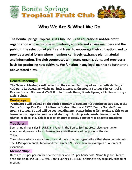

# Who We Are & What We Do

The Bonita Springs Tropical Fruit Club, Inc., is an educational not-for-profit organization whose purpose is to inform, educate and advise members and the public in the selection of plants and trees, to encourage their cultivation, and to provide a social forum where members can freely exchange plant material and information. The club cooperates with many organizations, and provides a basis for producing new cultivars. We function in any legal manner to further the above stated aims.

# **General Meeting:**

The General Meetings will be held on the second Saturday of each month starting at 4:30 pm. The Meetings will be pot luck dinners at the Bonita Springs Fire Control & Rescue District Station at 27701 Bonita Grande Drive, Bonita Springs, FL Please bring a dish to share.

# **Workshops:**

Workshops will be held on the forth Saturday of each month starting at 4:30 pm. at the Bonita Springs Fire Control & Rescue District Station at 27701 Bonita Grande Drive, Bonita Springs, FL and will be pot luck dinners.. Please bring a dish to share. This open format encourages discussion and sharing of fruits, plants, seeds, leaves, insects, photos, recipes, etc. This is a great change to receive answers to specific questions.

# **Tree Sales:**

Semi-annual tree sales in JUNE and June, in the Bonita Springs area, raise revenue for educational programs for club members and other related purposes of the club.

# Trips:

The club occasionally organizes trips and tours of other organizations that share our interests. The IFAS Experimental Station and the Fairchild Nursery Farm are examples of our recent excursions.

# **Membership:**

Dues are \$15 per person for new members, and \$25 per household. Name tags are \$6 each. Send checks to: PO Box 367791, Bonita Springs, FL 34136, or bring to any regularly scheduled meeting.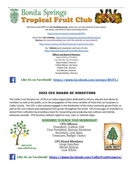

Feel free to join BSTFC on our Facebook group, where you can post pictures of your plants, ask advice, and find out about upcoming events!

https://www.facebook.com/groups/BSTFC/

Link to the next meeting: https://www.facebook.com/groups/BSTFC/events/ Meetup Link (events/meetings sync with the calendar on your phone!):

https://www.meetup.com/Bonita-Springs-Tropical-Fruit-Club/

Our Website (and newsletters with tons of info): https://www.BonitaSpringsTropicalFruitClub.com/

#### **Officers and Board of Directors:**

Jorge Sanchez, President Luis Garrido, Vice President Dwain Kiddo, Treasurer Talitha DeLuco, Secretary Crafton Clift, Director Lisa Mesmer, Director George Kaladiny, Director



Like Us on Facebook! https://www.facebook.com/groups/BSTFC/

# **2022 CFG BOARD OF DIRECTORS**

The Collier Fruit Growers Inc. (CFG) is an active organization dedicated to inform, educate and advise its members as well as the public, as to the propagation of the many varieties of fruits that can be grown in Collier County. The CFG is also actively engaged in the distribution of the many commonly grown fruits, as well as the rare tropical and subtropical fruits grown throughout the world. CFG encourages its members to extend their cultivation by providing a basis for researching and producing new cultivars and hybrids, whenever possible. CFG functions without regard to race, color or national origin.



#### **REMEMBER TO RENEW YOUR MEMBERSHIP!**

**CFG Officers** President, Crafton Clift Vice President, Bonnie Hawkins Secretary, Lisa Hare Treasurer, Rodger Taylor

> **CFG Board Members** Jorge Sanchez Micah Bishop Lisa White





Like Us on Facebook! https://www.facebook.com/CollierFruitGrowers/